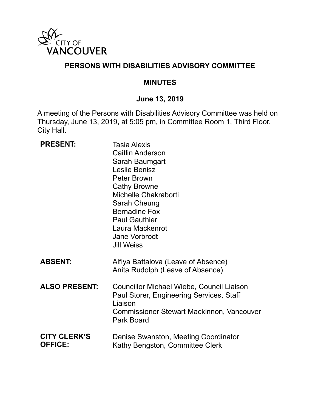

### **PERSONS WITH DISABILITIES ADVISORY COMMITTEE**

#### **MINUTES**

# **June 13, 2019**

A meeting of the Persons with Disabilities Advisory Committee was held on Thursday, June 13, 2019, at 5:05 pm, in Committee Room 1, Third Floor, City Hall.

| <b>PRESENT:</b>                       | <b>Tasia Alexis</b><br><b>Caitlin Anderson</b><br>Sarah Baumgart<br>Leslie Benisz<br><b>Peter Brown</b><br><b>Cathy Browne</b><br>Michelle Chakraborti<br>Sarah Cheung<br><b>Bernadine Fox</b><br><b>Paul Gauthier</b><br>Laura Mackenrot<br>Jane Vorbrodt<br><b>Jill Weiss</b> |
|---------------------------------------|---------------------------------------------------------------------------------------------------------------------------------------------------------------------------------------------------------------------------------------------------------------------------------|
| <b>ABSENT:</b>                        | Alfiya Battalova (Leave of Absence)<br>Anita Rudolph (Leave of Absence)                                                                                                                                                                                                         |
| <b>ALSO PRESENT:</b>                  | Councillor Michael Wiebe, Council Liaison<br>Paul Storer, Engineering Services, Staff<br>Liaison<br><b>Commissioner Stewart Mackinnon, Vancouver</b><br>Park Board                                                                                                              |
| <b>CITY CLERK'S</b><br><b>OFFICE:</b> | Denise Swanston, Meeting Coordinator<br>Kathy Bengston, Committee Clerk                                                                                                                                                                                                         |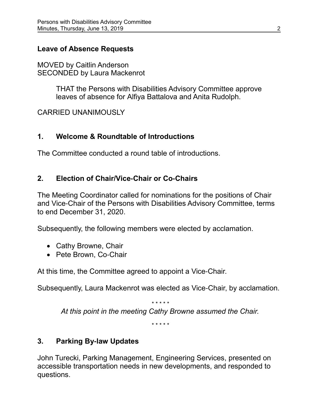### **Leave of Absence Requests**

MOVED by Caitlin Anderson SECONDED by Laura Mackenrot

> THAT the Persons with Disabilities Advisory Committee approve leaves of absence for Alfiya Battalova and Anita Rudolph.

CARRIED UNANIMOUSLY

# **1. Welcome & Roundtable of Introductions**

The Committee conducted a round table of introductions.

### **2. Election of Chair/Vice-Chair or Co-Chairs**

The Meeting Coordinator called for nominations for the positions of Chair and Vice-Chair of the Persons with Disabilities Advisory Committee, terms to end December 31, 2020.

Subsequently, the following members were elected by acclamation.

- Cathy Browne, Chair
- Pete Brown, Co-Chair

At this time, the Committee agreed to appoint a Vice-Chair.

Subsequently, Laura Mackenrot was elected as Vice-Chair, by acclamation.

*\* \* \* \* \* At this point in the meeting Cathy Browne assumed the Chair.*

*\* \* \* \* \**

# **3. Parking By-law Updates**

John Turecki, Parking Management, Engineering Services, presented on accessible transportation needs in new developments, and responded to questions.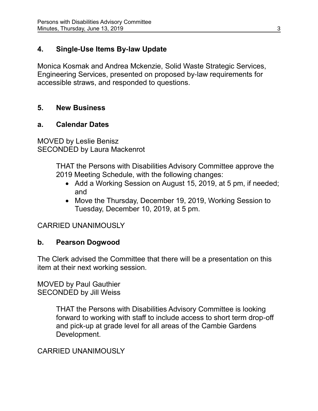# **4. Single-Use Items By-law Update**

Monica Kosmak and Andrea Mckenzie, Solid Waste Strategic Services, Engineering Services, presented on proposed by-law requirements for accessible straws, and responded to questions.

# **5. New Business**

# **a. Calendar Dates**

MOVED by Leslie Benisz SECONDED by Laura Mackenrot

> THAT the Persons with Disabilities Advisory Committee approve the 2019 Meeting Schedule, with the following changes:

- Add a Working Session on August 15, 2019, at 5 pm, if needed; and
- Move the Thursday, December 19, 2019, Working Session to Tuesday, December 10, 2019, at 5 pm.

# CARRIED UNANIMOUSLY

# **b. Pearson Dogwood**

The Clerk advised the Committee that there will be a presentation on this item at their next working session.

MOVED by Paul Gauthier SECONDED by Jill Weiss

> THAT the Persons with Disabilities Advisory Committee is looking forward to working with staff to include access to short term drop-off and pick-up at grade level for all areas of the Cambie Gardens Development.

# CARRIED UNANIMOUSLY